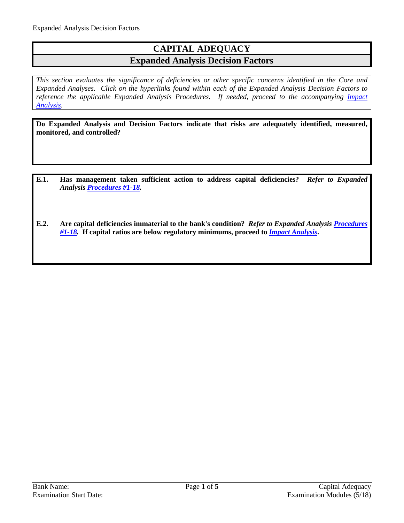## **CAPITAL ADEQUACY Expanded Analysis Decision Factors**

*This section evaluates the significance of deficiencies or other specific concerns identified in the Core and Expanded Analyses. Click on the hyperlinks found within each of the Expanded Analysis Decision Factors to reference the applicable Expanded Analysis Procedures. If needed, proceed to the accompanying Impact [Analysis.](#page-4-0)*

**Do Expanded Analysis and Decision Factors indicate that risks are adequately identified, measured, monitored, and controlled?**

- **E.1. Has management taken sufficient action to address capital deficiencies?** *Refer to Expanded Analysis [Procedures #1-18.](#page-1-0)*
- **E.2. Are capital deficiencies immaterial to the bank's condition?** *Refer to Expanded Analysis [Procedures](#page-1-0)  [#1-18.](#page-1-0)* **If capital ratios are below regulatory minimums, proceed to** *[Impact Analysis](#page-4-0)***.**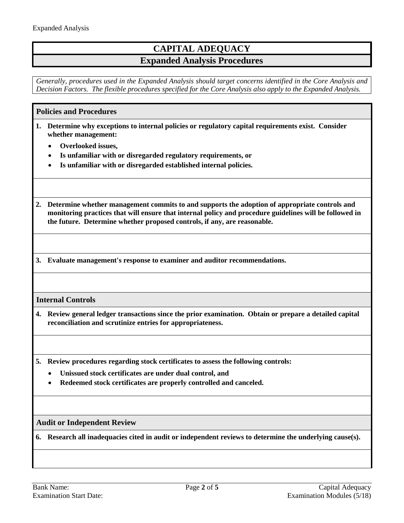# **CAPITAL ADEQUACY Expanded Analysis Procedures**

*Generally, procedures used in the Expanded Analysis should target concerns identified in the Core Analysis and Decision Factors. The flexible procedures specified for the Core Analysis also apply to the Expanded Analysis.*

## <span id="page-1-0"></span>**Policies and Procedures**

- **1. Determine why exceptions to internal policies or regulatory capital requirements exist. Consider whether management:**
	- **Overlooked issues,**
	- **Is unfamiliar with or disregarded regulatory requirements, or**
	- **Is unfamiliar with or disregarded established internal policies.**
- **2. Determine whether management commits to and supports the adoption of appropriate controls and monitoring practices that will ensure that internal policy and procedure guidelines will be followed in the future. Determine whether proposed controls, if any, are reasonable.**
- **3. Evaluate management's response to examiner and auditor recommendations.**

## **Internal Controls**

**4. Review general ledger transactions since the prior examination. Obtain or prepare a detailed capital reconciliation and scrutinize entries for appropriateness.**

**5. Review procedures regarding stock certificates to assess the following controls:**

- **Unissued stock certificates are under dual control, and**
- **Redeemed stock certificates are properly controlled and canceled.**

**Audit or Independent Review**

**6. Research all inadequacies cited in audit or independent reviews to determine the underlying cause(s).**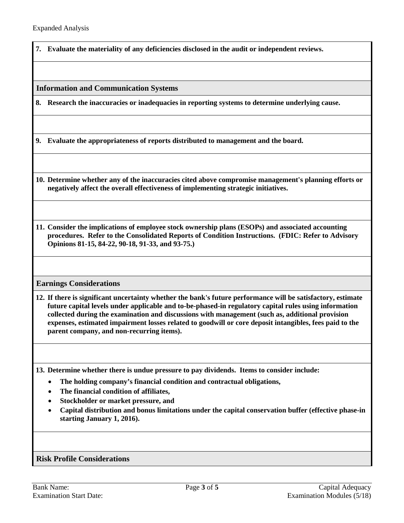**7. Evaluate the materiality of any deficiencies disclosed in the audit or independent reviews.**

#### **Information and Communication Systems**

**8. Research the inaccuracies or inadequacies in reporting systems to determine underlying cause.**

**9. Evaluate the appropriateness of reports distributed to management and the board.**

**10. Determine whether any of the inaccuracies cited above compromise management's planning efforts or negatively affect the overall effectiveness of implementing strategic initiatives.**

**11. Consider the implications of employee stock ownership plans (ESOPs) and associated accounting procedures. Refer to the Consolidated Reports of Condition Instructions. (FDIC: Refer to Advisory Opinions 81-15, 84-22, 90-18, 91-33, and 93-75.)**

## **Earnings Considerations**

**12. If there is significant uncertainty whether the bank's future performance will be satisfactory, estimate future capital levels under applicable and to-be-phased-in regulatory capital rules using information collected during the examination and discussions with management (such as, additional provision expenses, estimated impairment losses related to goodwill or core deposit intangibles, fees paid to the parent company, and non-recurring items).**

**13. Determine whether there is undue pressure to pay dividends. Items to consider include:**

- **The holding company's financial condition and contractual obligations,**
- **The financial condition of affiliates,**
- **Stockholder or market pressure, and**
- **Capital distribution and bonus limitations under the capital conservation buffer (effective phase-in starting January 1, 2016).**

## **Risk Profile Considerations**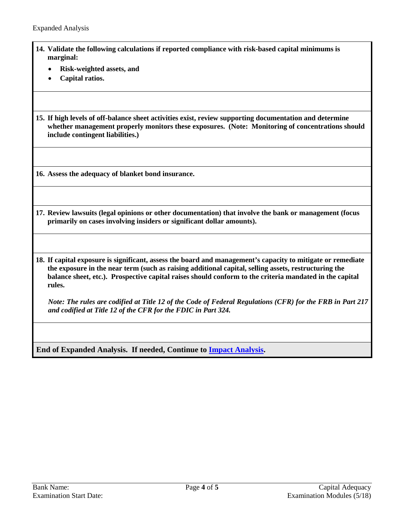- **14. Validate the following calculations if reported compliance with risk-based capital minimums is marginal:**
	- **Risk-weighted assets, and**
	- **Capital ratios.**
- **15. If high levels of off-balance sheet activities exist, review supporting documentation and determine whether management properly monitors these exposures. (Note: Monitoring of concentrations should include contingent liabilities.)**

**16. Assess the adequacy of blanket bond insurance.**

- **17. Review lawsuits (legal opinions or other documentation) that involve the bank or management (focus primarily on cases involving insiders or significant dollar amounts).**
- **18. If capital exposure is significant, assess the board and management's capacity to mitigate or remediate the exposure in the near term (such as raising additional capital, selling assets, restructuring the balance sheet, etc.). Prospective capital raises should conform to the criteria mandated in the capital rules.**

*Note: The rules are codified at Title 12 of the Code of Federal Regulations (CFR) for the FRB in Part 217 and codified at Title 12 of the CFR for the FDIC in Part 324.*

**End of Expanded Analysis. If needed, Continue to [Impact Analysis.](#page-4-0)**